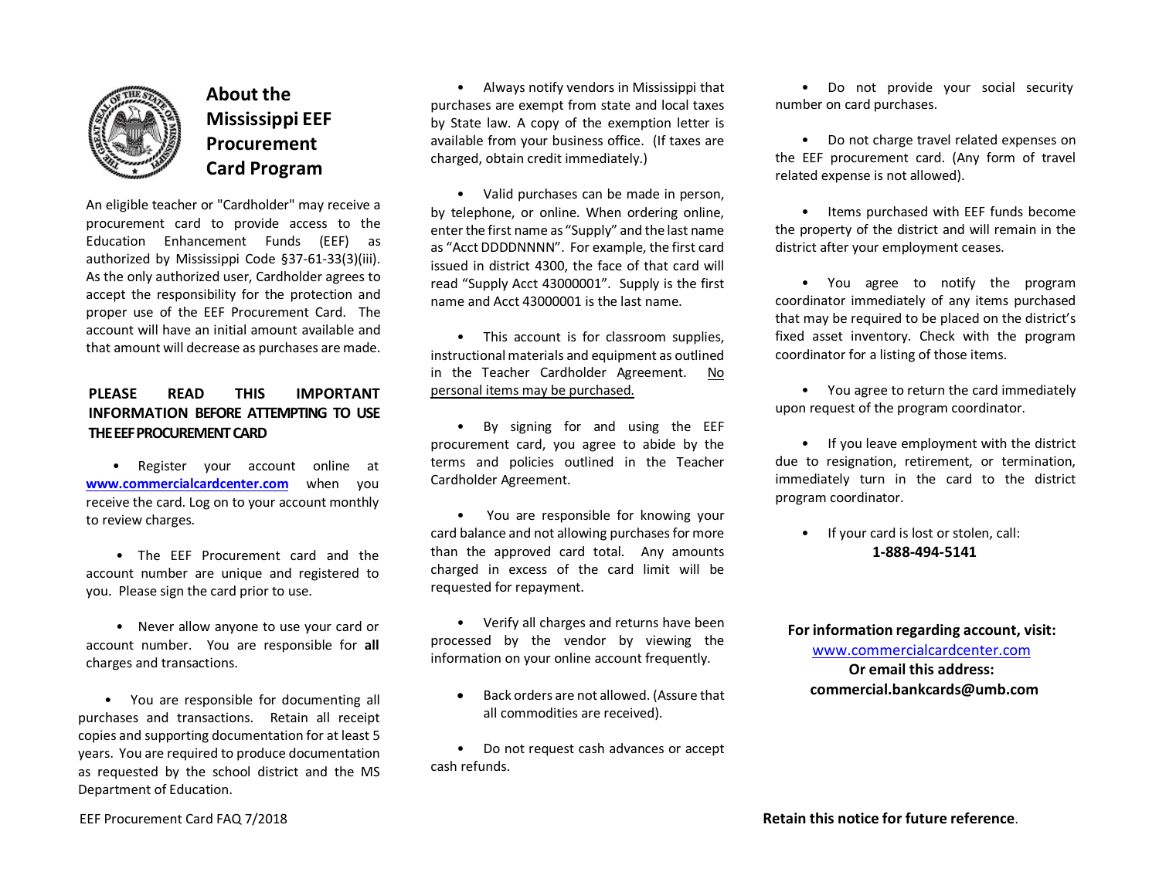

## **About the Mississippi EEF Procurement Card Program**

An eligible teacher or "Cardholder" may receive a procurement card to provide access to the Education Enhancement Funds (EEF) as authorized by Mississippi Code §37-61-33(3)(iii). As the only authorized user, Cardholder agrees to accept the responsibility for the protection and proper use of the EEF Procurement Card. The account will have an initial amount available and that amount will decrease as purchases are made.

## **PLEASE READ THIS IMPORTANT INFORMATION BEFORE ATTEMPTING TO USE THE EEF PROCUREMENT CARD**

• Register your account online at **www.commercialcardcenter.com** when you receive the card. Log on to your account monthly to review charges.

• The EEF Procurement card and the account number are unique and registered to you. Please sign the card prior to use.

• Never allow anyone to use your card or account number. You are responsible for **all**  charges and transactions.

• You are responsible for documenting all purchases and transactions. Retain all receipt copies and supporting documentation for at least 5 years. You are required to produce documentation as requested by the school district and the MS Department of Education.

• Always notify vendors in Mississippi that purchases are exempt from state and local taxes by State law. A copy of the exemption letter is available from your business office. (If taxes are charged, obtain credit immediately.)

• Valid purchases can be made in person, by telephone, or online. When ordering online, enter the first name as "Supply" and the last name as "Acct DDDDNNNN". For example, the first card issued in district 4300, the face of that card will read "Supply Acct 43000001". Supply is the first name and Acct 43000001 is the last name.

• This account is for classroom supplies, instructionalmaterials and equipment as outlined in the Teacher Cardholder Agreement. No personal items may be purchased.

• By signing for and using the EEF procurement card, you agree to abide by the terms and policies outlined in the Teacher Cardholder Agreement.

• You are responsible for knowing your card balance and not allowing purchases for more than the approved card total. Any amounts charged in excess of the card limit will be requested for repayment.

• Verify all charges and returns have been processed by the vendor by viewing the information on your online account frequently.

• Back orders are not allowed. (Assure that all commodities are received).

• Do not request cash advances or accept cash refunds.

• Do not provide your social security number on card purchases.

• Do not charge travel related expenses on the EEF procurement card. (Any form of travel related expense is not allowed).

• Items purchased with EEF funds become the property of the district and will remain in the district after your employment ceases.

• You agree to notify the program coordinator immediately of any items purchased that may be required to be placed on the district's fixed asset inventory. Check with the program coordinator for a listing of those items.

• You agree to return the card immediately upon request of the program coordinator.

• If you leave employment with the district due to resignation, retirement, or termination, immediately turn in the card to the district program coordinator.

• If your card is lost or stolen, call: **1-888-494-5141**

**For information regarding account, visit:** www.commercialcardcenter.com **Or email this address:**

**commercial.bankcards@umb.com**